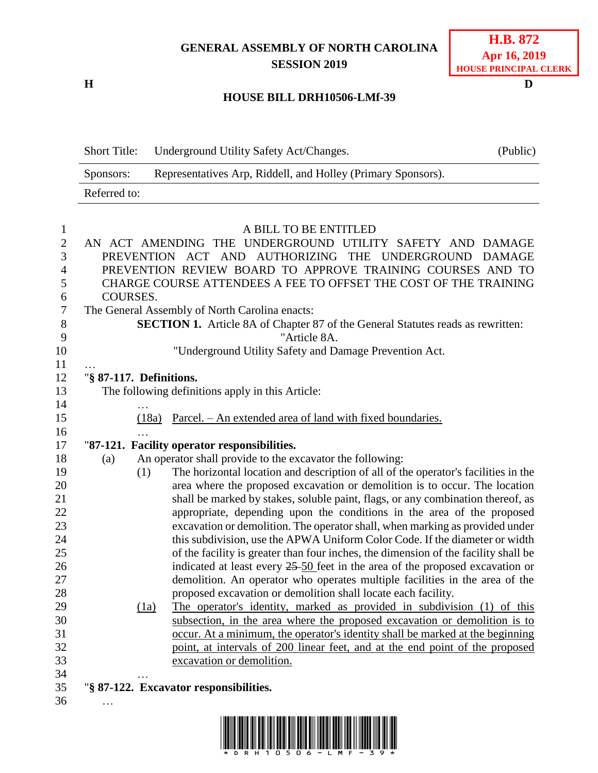## **GENERAL ASSEMBLY OF NORTH CAROLINA SESSION 2019**

**H D**

## **H.B. 872 Apr 16, 2019 HOUSE PRINCIPAL CLERK**

## **HOUSE BILL DRH10506-LMf-39**

| <b>Short Title:</b> | Underground Utility Safety Act/Changes.                      | (Public) |
|---------------------|--------------------------------------------------------------|----------|
| Sponsors:           | Representatives Arp, Riddell, and Holley (Primary Sponsors). |          |
| Referred to:        |                                                              |          |

## 1 A BILL TO BE ENTITLED<br>2 AN ACT AMENDING THE UNDERGROUND UTILIT AN ACT AMENDING THE UNDERGROUND UTILITY SAFETY AND DAMAGE PREVENTION ACT AND AUTHORIZING THE UNDERGROUND DAMAGE PREVENTION REVIEW BOARD TO APPROVE TRAINING COURSES AND TO CHARGE COURSE ATTENDEES A FEE TO OFFSET THE COST OF THE TRAINING COURSES. The General Assembly of North Carolina enacts: **SECTION 1.** Article 8A of Chapter 87 of the General Statutes reads as rewritten: "Article 8A. "Underground Utility Safety and Damage Prevention Act. … "**§ 87-117. Definitions.** The following definitions apply in this Article: … (18a) Parcel. – An extended area of land with fixed boundaries. … "**87-121. Facility operator responsibilities.** (a) An operator shall provide to the excavator the following: (1) The horizontal location and description of all of the operator's facilities in the area where the proposed excavation or demolition is to occur. The location 21 shall be marked by stakes, soluble paint, flags, or any combination thereof, as appropriate, depending upon the conditions in the area of the proposed excavation or demolition. The operator shall, when marking as provided under this subdivision, use the APWA Uniform Color Code. If the diameter or width of the facility is greater than four inches, the dimension of the facility shall be 26 indicated at least every 25-50 feet in the area of the proposed excavation or demolition. An operator who operates multiple facilities in the area of the proposed excavation or demolition shall locate each facility. (1a) The operator's identity, marked as provided in subdivision (1) of this subsection, in the area where the proposed excavation or demolition is to occur. At a minimum, the operator's identity shall be marked at the beginning point, at intervals of 200 linear feet, and at the end point of the proposed excavation or demolition. … "**§ 87-122. Excavator responsibilities.** …

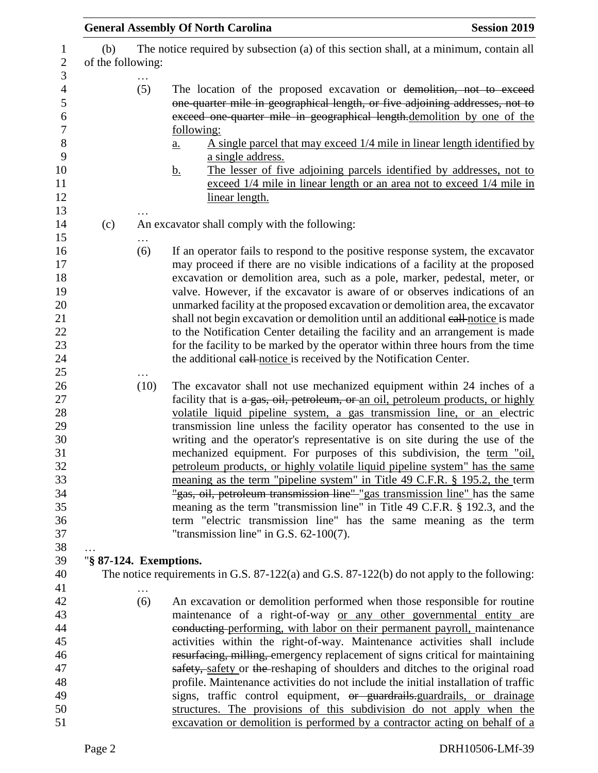|                                                                                                                    |                                               | <b>General Assembly Of North Carolina</b>                                                                                                                                                                                                                                                                                                                                                                                                                                                                                                                                                                                                                                                                                                                                                                                                                                                                                   | <b>Session 2019</b> |  |
|--------------------------------------------------------------------------------------------------------------------|-----------------------------------------------|-----------------------------------------------------------------------------------------------------------------------------------------------------------------------------------------------------------------------------------------------------------------------------------------------------------------------------------------------------------------------------------------------------------------------------------------------------------------------------------------------------------------------------------------------------------------------------------------------------------------------------------------------------------------------------------------------------------------------------------------------------------------------------------------------------------------------------------------------------------------------------------------------------------------------------|---------------------|--|
| (b)<br>The notice required by subsection (a) of this section shall, at a minimum, contain all<br>of the following: |                                               |                                                                                                                                                                                                                                                                                                                                                                                                                                                                                                                                                                                                                                                                                                                                                                                                                                                                                                                             |                     |  |
|                                                                                                                    | (5)                                           | The location of the proposed excavation or demolition, not to exceed<br>one-quarter mile in geographical length, or five adjoining addresses, not to<br>exceed one quarter mile in geographical length.demolition by one of the<br>following:<br>A single parcel that may exceed 1/4 mile in linear length identified by<br><u>a.</u><br>a single address.<br>The lesser of five adjoining parcels identified by addresses, not to<br><u>b.</u><br>exceed 1/4 mile in linear length or an area not to exceed 1/4 mile in<br>linear length.                                                                                                                                                                                                                                                                                                                                                                                  |                     |  |
| (c)                                                                                                                | An excavator shall comply with the following: |                                                                                                                                                                                                                                                                                                                                                                                                                                                                                                                                                                                                                                                                                                                                                                                                                                                                                                                             |                     |  |
|                                                                                                                    | (6)                                           | If an operator fails to respond to the positive response system, the excavator<br>may proceed if there are no visible indications of a facility at the proposed<br>excavation or demolition area, such as a pole, marker, pedestal, meter, or<br>valve. However, if the excavator is aware of or observes indications of an<br>unmarked facility at the proposed excavation or demolition area, the excavator<br>shall not begin excavation or demolition until an additional eall-notice is made<br>to the Notification Center detailing the facility and an arrangement is made<br>for the facility to be marked by the operator within three hours from the time<br>the additional eall-notice is received by the Notification Center.                                                                                                                                                                                   |                     |  |
|                                                                                                                    | (10)                                          | The excavator shall not use mechanized equipment within 24 inches of a<br>facility that is a gas, oil, petroleum, or an oil, petroleum products, or highly<br>volatile liquid pipeline system, a gas transmission line, or an electric<br>transmission line unless the facility operator has consented to the use in<br>writing and the operator's representative is on site during the use of the<br>mechanized equipment. For purposes of this subdivision, the term "oil,<br>petroleum products, or highly volatile liquid pipeline system" has the same<br>meaning as the term "pipeline system" in Title 49 C.F.R. § 195.2, the term<br>"gas, oil, petroleum transmission line" "gas transmission line" has the same<br>meaning as the term "transmission line" in Title 49 C.F.R. § 192.3, and the<br>term "electric transmission line" has the same meaning as the term<br>"transmission line" in G.S. $62-100(7)$ . |                     |  |
| "§ 87-124. Exemptions.                                                                                             |                                               |                                                                                                                                                                                                                                                                                                                                                                                                                                                                                                                                                                                                                                                                                                                                                                                                                                                                                                                             |                     |  |
|                                                                                                                    |                                               | The notice requirements in G.S. 87-122(a) and G.S. 87-122(b) do not apply to the following:                                                                                                                                                                                                                                                                                                                                                                                                                                                                                                                                                                                                                                                                                                                                                                                                                                 |                     |  |
|                                                                                                                    | (6)                                           | An excavation or demolition performed when those responsible for routine<br>maintenance of a right-of-way or any other governmental entity are<br>eonducting performing, with labor on their permanent payroll, maintenance<br>activities within the right-of-way. Maintenance activities shall include<br>resurfacing, milling, emergency replacement of signs critical for maintaining<br>safety, safety or the reshaping of shoulders and ditches to the original road<br>profile. Maintenance activities do not include the initial installation of traffic<br>signs, traffic control equipment, or guardrails-guardrails, or drainage<br>structures. The provisions of this subdivision do not apply when the<br>excavation or demolition is performed by a contractor acting on behalf of a                                                                                                                           |                     |  |